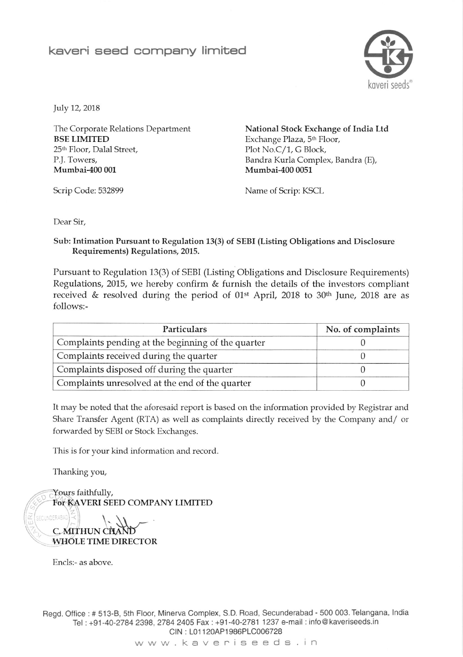## kaveri seed company limited



July 12, 2018

The Corporate Relations Department BSE LIMITED 25tt Floor, Dalal Street, P.J. Towers, Mumbai-400 001

National Stock Exchange of India Ltd Exchange Plaza, 5<sup>th</sup> Floor, Plot No.C/1, G Block, Bandra Kurla Complex, Bandra (E), Mumbai-400 0051

Scrip Code: 532899 Name of Scrip: KSCL

Dear Sir,

## Sub: Intimation Pursuant to Regulation 13(3) of SEBI (Listing Obligations and Disclosure Requirements) Regulations, 2015.

Pursuant to Regulation 13(3) of SEBI (Listing Obligations and Disclosure Requirements) Regulations, 2015, we hereby confirm & furnish the details of the investors compliant received  $\&$  resolved during the period of 01<sup>st</sup> April, 2018 to 30<sup>th</sup> June, 2018 are as follows:-

| Particulars                                        | No. of complaints |  |
|----------------------------------------------------|-------------------|--|
| Complaints pending at the beginning of the quarter |                   |  |
| Complaints received during the quarter             |                   |  |
| Complaints disposed off during the quarter         |                   |  |
| Complaints unresolved at the end of the quarter    |                   |  |

It may be noted that the aforesaid report is based on the information provided by Registrar and Share Transfer Agent (RTA) as well as complaints directly received by the Company and/ or forwarded by SEBI or Stock Exchanges.

This is for your kind information and record.

Thanking you,

Yours faithfully, FoT KAVERI SEED COMPANY LIMITED

SECUNDERABAD C. MITHUN WHOLE TIME DIRECTOR

Encls:- as above

Regd. Oflice : # 513-B, sth Floor, Minerva Complex, S.D. Road, Secunderabad - 500 003. Telangana, lndia Tel: +91-40-2784 2398, 2784 2405 Fax: +91-40-2781 1237 e-mail: info@kaveriseeds.in CIN: L01120AP1986PLC006728